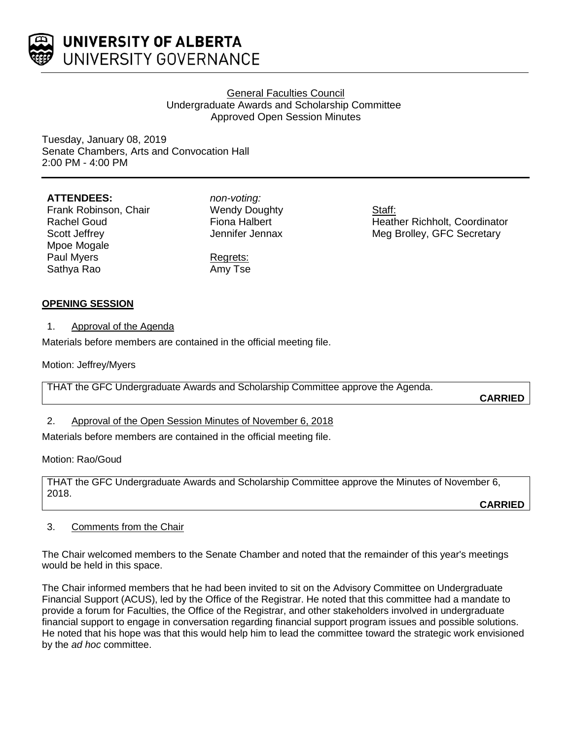

## General Faculties Council Undergraduate Awards and Scholarship Committee Approved Open Session Minutes

Tuesday, January 08, 2019 Senate Chambers, Arts and Convocation Hall 2:00 PM - 4:00 PM

#### **ATTENDEES:**

Frank Robinson, Chair Rachel Goud Scott Jeffrey Mpoe Mogale Paul Myers Sathya Rao

*non-voting:* Wendy Doughty Fiona Halbert Jennifer Jennax

Regrets: Amy Tse Staff: Heather Richholt, Coordinator Meg Brolley, GFC Secretary

#### **OPENING SESSION**

1. Approval of the Agenda

Materials before members are contained in the official meeting file.

Motion: Jeffrey/Myers

THAT the GFC Undergraduate Awards and Scholarship Committee approve the Agenda.

**CARRIED**

#### 2. Approval of the Open Session Minutes of November 6, 2018

Materials before members are contained in the official meeting file.

Motion: Rao/Goud

THAT the GFC Undergraduate Awards and Scholarship Committee approve the Minutes of November 6, 2018.

**CARRIED**

#### 3. Comments from the Chair

The Chair welcomed members to the Senate Chamber and noted that the remainder of this year's meetings would be held in this space.

The Chair informed members that he had been invited to sit on the Advisory Committee on Undergraduate Financial Support (ACUS), led by the Office of the Registrar. He noted that this committee had a mandate to provide a forum for Faculties, the Office of the Registrar, and other stakeholders involved in undergraduate financial support to engage in conversation regarding financial support program issues and possible solutions. He noted that his hope was that this would help him to lead the committee toward the strategic work envisioned by the *ad hoc* committee.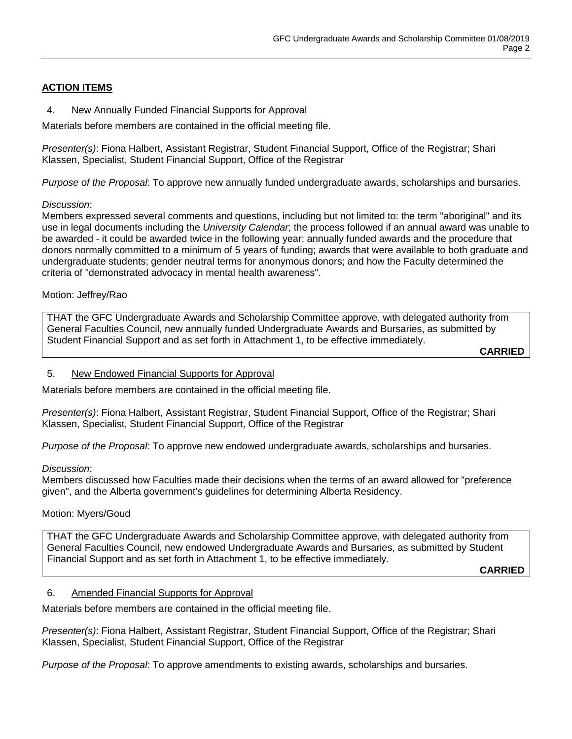## **ACTION ITEMS**

## 4. New Annually Funded Financial Supports for Approval

Materials before members are contained in the official meeting file.

*Presenter(s)*: Fiona Halbert, Assistant Registrar, Student Financial Support, Office of the Registrar; Shari Klassen, Specialist, Student Financial Support, Office of the Registrar

*Purpose of the Proposal*: To approve new annually funded undergraduate awards, scholarships and bursaries.

## *Discussion*:

Members expressed several comments and questions, including but not limited to: the term "aboriginal" and its use in legal documents including the *University Calendar*; the process followed if an annual award was unable to be awarded - it could be awarded twice in the following year; annually funded awards and the procedure that donors normally committed to a minimum of 5 years of funding; awards that were available to both graduate and undergraduate students; gender neutral terms for anonymous donors; and how the Faculty determined the criteria of "demonstrated advocacy in mental health awareness".

## Motion: Jeffrey/Rao

THAT the GFC Undergraduate Awards and Scholarship Committee approve, with delegated authority from General Faculties Council, new annually funded Undergraduate Awards and Bursaries, as submitted by Student Financial Support and as set forth in Attachment 1, to be effective immediately.

**CARRIED**

#### 5. New Endowed Financial Supports for Approval

Materials before members are contained in the official meeting file.

*Presenter(s)*: Fiona Halbert, Assistant Registrar, Student Financial Support, Office of the Registrar; Shari Klassen, Specialist, Student Financial Support, Office of the Registrar

*Purpose of the Proposal*: To approve new endowed undergraduate awards, scholarships and bursaries.

#### *Discussion*:

Members discussed how Faculties made their decisions when the terms of an award allowed for "preference given", and the Alberta government's guidelines for determining Alberta Residency.

#### Motion: Myers/Goud

THAT the GFC Undergraduate Awards and Scholarship Committee approve, with delegated authority from General Faculties Council, new endowed Undergraduate Awards and Bursaries, as submitted by Student Financial Support and as set forth in Attachment 1, to be effective immediately.

**CARRIED**

#### 6. Amended Financial Supports for Approval

Materials before members are contained in the official meeting file.

*Presenter(s)*: Fiona Halbert, Assistant Registrar, Student Financial Support, Office of the Registrar; Shari Klassen, Specialist, Student Financial Support, Office of the Registrar

*Purpose of the Proposal*: To approve amendments to existing awards, scholarships and bursaries.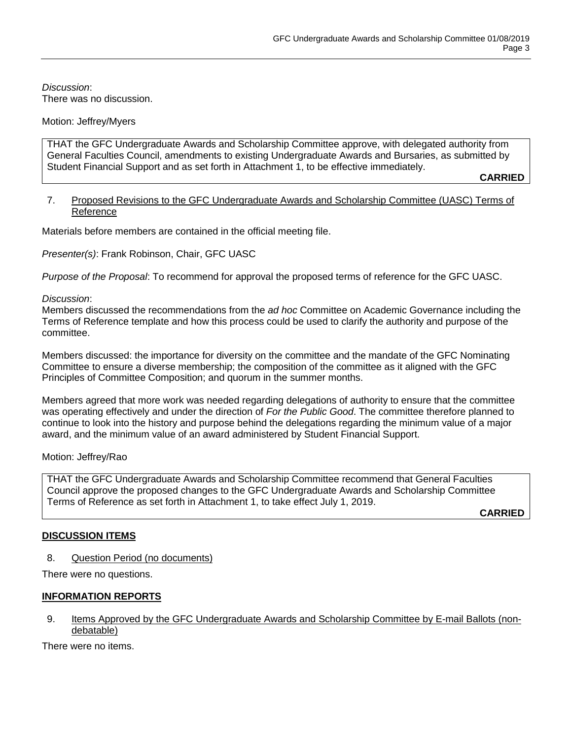*Discussion*: There was no discussion.

#### Motion: Jeffrey/Myers

THAT the GFC Undergraduate Awards and Scholarship Committee approve, with delegated authority from General Faculties Council, amendments to existing Undergraduate Awards and Bursaries, as submitted by Student Financial Support and as set forth in Attachment 1, to be effective immediately.

**CARRIED**

#### 7. Proposed Revisions to the GFC Undergraduate Awards and Scholarship Committee (UASC) Terms of Reference

Materials before members are contained in the official meeting file.

*Presenter(s)*: Frank Robinson, Chair, GFC UASC

*Purpose of the Proposal*: To recommend for approval the proposed terms of reference for the GFC UASC.

#### *Discussion*:

Members discussed the recommendations from the *ad hoc* Committee on Academic Governance including the Terms of Reference template and how this process could be used to clarify the authority and purpose of the committee.

Members discussed: the importance for diversity on the committee and the mandate of the GFC Nominating Committee to ensure a diverse membership; the composition of the committee as it aligned with the GFC Principles of Committee Composition; and quorum in the summer months.

Members agreed that more work was needed regarding delegations of authority to ensure that the committee was operating effectively and under the direction of *For the Public Good*. The committee therefore planned to continue to look into the history and purpose behind the delegations regarding the minimum value of a major award, and the minimum value of an award administered by Student Financial Support.

#### Motion: Jeffrey/Rao

THAT the GFC Undergraduate Awards and Scholarship Committee recommend that General Faculties Council approve the proposed changes to the GFC Undergraduate Awards and Scholarship Committee Terms of Reference as set forth in Attachment 1, to take effect July 1, 2019.

**CARRIED**

#### **DISCUSSION ITEMS**

8. Question Period (no documents)

There were no questions.

#### **INFORMATION REPORTS**

9. Items Approved by the GFC Undergraduate Awards and Scholarship Committee by E-mail Ballots (nondebatable)

There were no items.